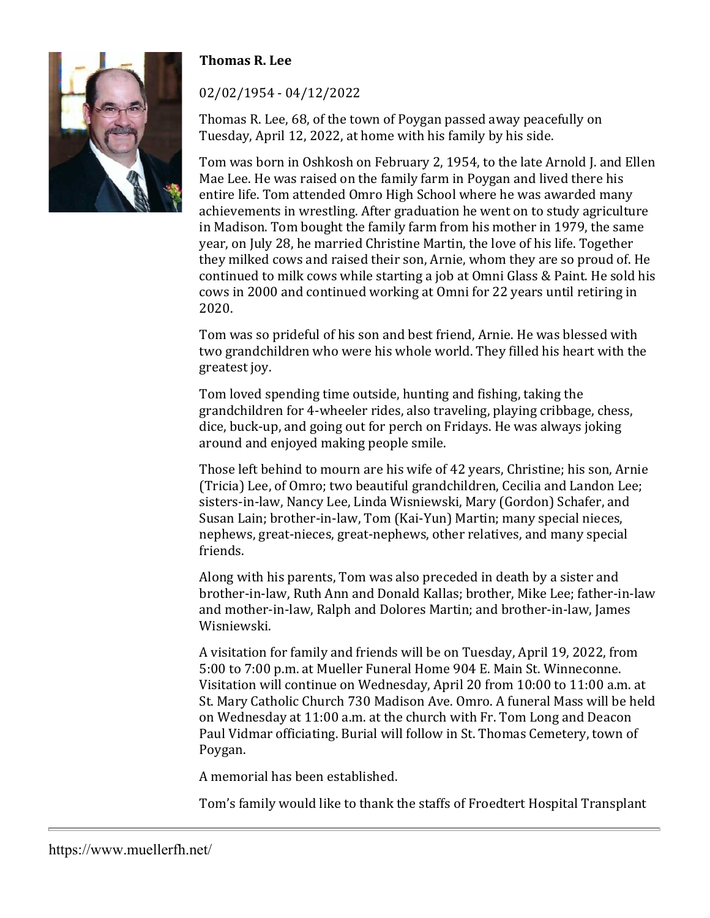## **Thomas R. Lee**



## 02/02/1954 - 04/12/2022

Thomas R. Lee, 68, of the town of Poygan passed away peacefully on Tuesday, April 12, 2022, at home with his family by his side.

Tom was born in Oshkosh on February 2, 1954, to the late Arnold J. and Ellen Mae Lee. He was raised on the family farm in Poygan and lived there his entire life. Tom attended Omro High School where he was awarded many achievements in wrestling. After graduation he went on to study agriculture in Madison. Tom bought the family farm from his mother in 1979, the same year, on July 28, he married Christine Martin, the love of his life. Together they milked cows and raised their son, Arnie, whom they are so proud of. He continued to milk cows while starting a job at Omni Glass & Paint. He sold his cows in 2000 and continued working at Omni for 22 years until retiring in 2020.

Tom was so prideful of his son and best friend, Arnie. He was blessed with two grandchildren who were his whole world. They filled his heart with the greatest joy.

Tom loved spending time outside, hunting and fishing, taking the grandchildren for 4-wheeler rides, also traveling, playing cribbage, chess, dice, buck-up, and going out for perch on Fridays. He was always joking around and enjoyed making people smile.

Those left behind to mourn are his wife of 42 years, Christine; his son, Arnie (Tricia) Lee, of Omro; two beautiful grandchildren, Cecilia and Landon Lee; sisters-in-law, Nancy Lee, Linda Wisniewski, Mary (Gordon) Schafer, and Susan Lain; brother-in-law, Tom (Kai-Yun) Martin; many special nieces, nephews, great-nieces, great-nephews, other relatives, and many special friends.

Along with his parents, Tom was also preceded in death by a sister and brother-in-law, Ruth Ann and Donald Kallas; brother, Mike Lee; father-in-law and mother-in-law, Ralph and Dolores Martin; and brother-in-law, James Wisniewski.

A visitation for family and friends will be on Tuesday, April 19, 2022, from 5:00 to 7:00 p.m. at Mueller Funeral Home 904 E. Main St. Winneconne. Visitation will continue on Wednesday, April 20 from 10:00 to 11:00 a.m. at St. Mary Catholic Church 730 Madison Ave. Omro. A funeral Mass will be held on Wednesday at 11:00 a.m. at the church with Fr. Tom Long and Deacon Paul Vidmar officiating. Burial will follow in St. Thomas Cemetery, town of Poygan.

A memorial has been established.

Tom's family would like to thank the staffs of Froedtert Hospital Transplant